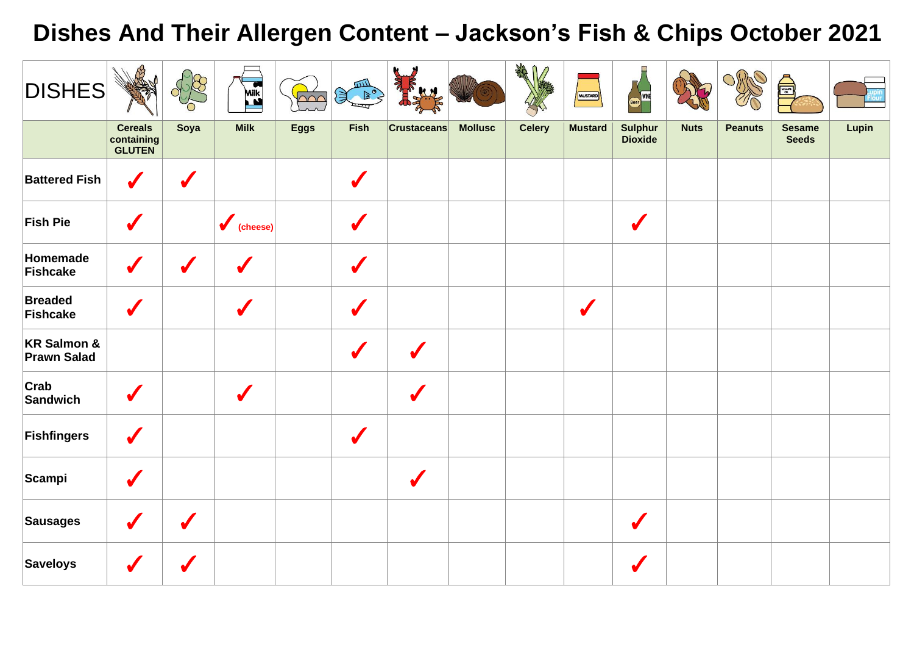## **Dishes And Their Allergen Content – Jackson's Fish & Chips October 2021**

| <b>DISHES</b>                                |                                               |                      | Milk               | $\sim$      | E<br>$\mathbb{R}^{\circ}$ |                    |                | 後1/           | MUSTARD        |                                  |             |                | A                             |       |
|----------------------------------------------|-----------------------------------------------|----------------------|--------------------|-------------|---------------------------|--------------------|----------------|---------------|----------------|----------------------------------|-------------|----------------|-------------------------------|-------|
|                                              | <b>Cereals</b><br>containing<br><b>GLUTEN</b> | Soya                 | <b>Milk</b>        | <b>Eggs</b> | Fish                      | <b>Crustaceans</b> | <b>Mollusc</b> | <b>Celery</b> | <b>Mustard</b> | <b>Sulphur</b><br><b>Dioxide</b> | <b>Nuts</b> | <b>Peanuts</b> | <b>Sesame</b><br><b>Seeds</b> | Lupin |
| <b>Battered Fish</b>                         | $\checkmark$                                  | $\sqrt{\frac{1}{2}}$ |                    |             | $\sqrt{\frac{1}{2}}$      |                    |                |               |                |                                  |             |                |                               |       |
| <b>Fish Pie</b>                              | V                                             |                      | $\bigvee$ (cheese) |             | $\sqrt{2}$                |                    |                |               |                | $\checkmark$                     |             |                |                               |       |
| Homemade<br>Fishcake                         | V                                             |                      |                    |             | $\sqrt{\frac{1}{2}}$      |                    |                |               |                |                                  |             |                |                               |       |
| <b>Breaded</b><br>Fishcake                   |                                               |                      |                    |             | $\sqrt{\frac{1}{2}}$      |                    |                |               | $\sqrt{}$      |                                  |             |                |                               |       |
| <b>KR Salmon &amp;</b><br><b>Prawn Salad</b> |                                               |                      |                    |             |                           | $\boldsymbol{J}$   |                |               |                |                                  |             |                |                               |       |
| Crab<br>Sandwich                             | $\sqrt{}$                                     |                      | $\boldsymbol{J}$   |             |                           |                    |                |               |                |                                  |             |                |                               |       |
| Fishfingers                                  | S                                             |                      |                    |             | $\checkmark$              |                    |                |               |                |                                  |             |                |                               |       |
| Scampi                                       | $\sqrt{}$                                     |                      |                    |             |                           | $\boldsymbol{J}$   |                |               |                |                                  |             |                |                               |       |
| <b>Sausages</b>                              |                                               |                      |                    |             |                           |                    |                |               |                | $\sqrt{}$                        |             |                |                               |       |
| <b>Saveloys</b>                              |                                               |                      |                    |             |                           |                    |                |               |                |                                  |             |                |                               |       |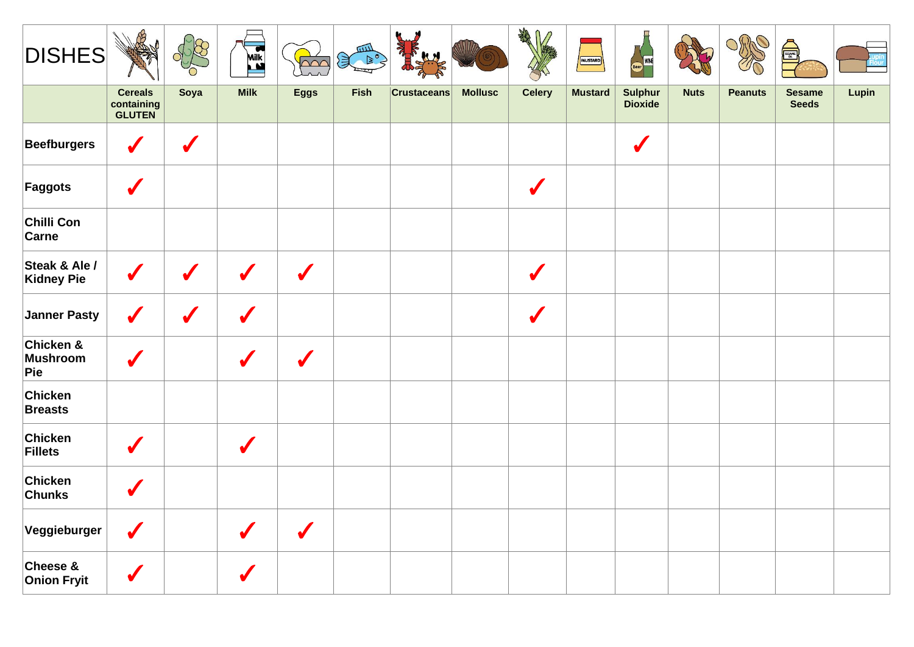| <b>DISHES</b>                  |                                        |                      | <b>Milk</b>          | $\overline{\mathsf{M}}$ |      |                    |                | ART<br>n             | (MUSTARD)      | Beer WINE                        |             |                | SESAME                        |       |
|--------------------------------|----------------------------------------|----------------------|----------------------|-------------------------|------|--------------------|----------------|----------------------|----------------|----------------------------------|-------------|----------------|-------------------------------|-------|
|                                | <b>Cereals</b><br>containing<br>GLUTEN | Soya                 | <b>Milk</b>          | <b>Eggs</b>             | Fish | <b>Crustaceans</b> | <b>Mollusc</b> | <b>Celery</b>        | <b>Mustard</b> | <b>Sulphur</b><br><b>Dioxide</b> | <b>Nuts</b> | <b>Peanuts</b> | <b>Sesame</b><br><b>Seeds</b> | Lupin |
| <b>Beefburgers</b>             | J                                      | $\boldsymbol{J}$     |                      |                         |      |                    |                |                      |                | $\sqrt{}$                        |             |                |                               |       |
| Faggots                        | J                                      |                      |                      |                         |      |                    |                | V                    |                |                                  |             |                |                               |       |
| Chilli Con<br><b>Carne</b>     |                                        |                      |                      |                         |      |                    |                |                      |                |                                  |             |                |                               |       |
| Steak & Ale /<br>Kidney Pie    | $\checkmark$                           | $\checkmark$         | $\checkmark$         | $\sqrt{}$               |      |                    |                | $\checkmark$         |                |                                  |             |                |                               |       |
| Janner Pasty                   | $\checkmark$                           | $\sqrt{\frac{1}{2}}$ | S                    |                         |      |                    |                | $\sqrt{\frac{1}{2}}$ |                |                                  |             |                |                               |       |
| Chicken &<br>Mushroom<br>Pie   | J                                      |                      |                      | J                       |      |                    |                |                      |                |                                  |             |                |                               |       |
| Chicken<br><b>Breasts</b>      |                                        |                      |                      |                         |      |                    |                |                      |                |                                  |             |                |                               |       |
| Chicken<br>Fillets             |                                        |                      | $\sqrt{\frac{1}{2}}$ |                         |      |                    |                |                      |                |                                  |             |                |                               |       |
| Chicken<br><b>Chunks</b>       |                                        |                      |                      |                         |      |                    |                |                      |                |                                  |             |                |                               |       |
| Veggieburger                   | $\sqrt{}$                              |                      | S                    | S                       |      |                    |                |                      |                |                                  |             |                |                               |       |
| Cheese &<br><b>Onion Fryit</b> |                                        |                      |                      |                         |      |                    |                |                      |                |                                  |             |                |                               |       |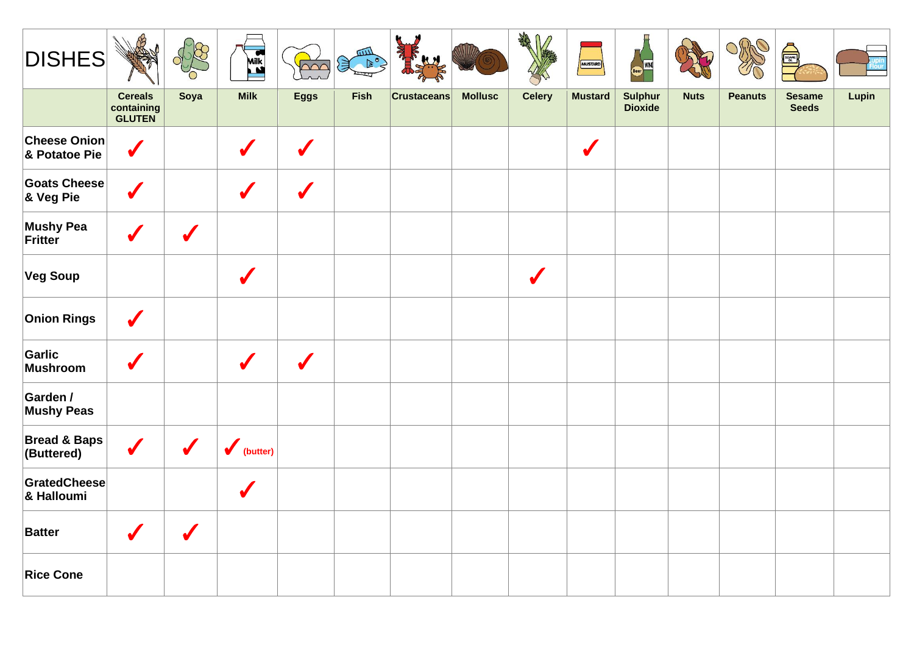| <b>DISHES</b>                         |                                               |                      | <b>Milk</b>          | $\overline{\triangle\alpha}$ |      |                    |                | AR            | MUSTARD        | Beer WINE          |             |                | E                             |       |
|---------------------------------------|-----------------------------------------------|----------------------|----------------------|------------------------------|------|--------------------|----------------|---------------|----------------|--------------------|-------------|----------------|-------------------------------|-------|
|                                       | <b>Cereals</b><br>containing<br><b>GLUTEN</b> | Soya                 | <b>Milk</b>          | <b>Eggs</b>                  | Fish | <b>Crustaceans</b> | <b>Mollusc</b> | <b>Celery</b> | <b>Mustard</b> | Sulphur<br>Dioxide | <b>Nuts</b> | <b>Peanuts</b> | <b>Sesame</b><br><b>Seeds</b> | Lupin |
| <b>Cheese Onion</b><br>& Potatoe Pie  | $\checkmark$                                  |                      | J                    | V                            |      |                    |                |               | $\checkmark$   |                    |             |                |                               |       |
| <b>Goats Cheese</b><br>& Veg Pie      | $\sqrt{}$                                     |                      | $\sqrt{\frac{1}{2}}$ | $\sqrt{\frac{1}{2}}$         |      |                    |                |               |                |                    |             |                |                               |       |
| <b>Mushy Pea</b><br>Fritter           |                                               | $\checkmark$         |                      |                              |      |                    |                |               |                |                    |             |                |                               |       |
| <b>Veg Soup</b>                       |                                               |                      | S                    |                              |      |                    |                | $\checkmark$  |                |                    |             |                |                               |       |
| <b>Onion Rings</b>                    | $\boldsymbol{J}$                              |                      |                      |                              |      |                    |                |               |                |                    |             |                |                               |       |
| Garlic<br>Mushroom                    | $\sqrt{\frac{1}{2}}$                          |                      | $\sqrt{\frac{1}{2}}$ | $\checkmark$                 |      |                    |                |               |                |                    |             |                |                               |       |
| Garden /<br><b>Mushy Peas</b>         |                                               |                      |                      |                              |      |                    |                |               |                |                    |             |                |                               |       |
| <b>Bread &amp; Baps</b><br>(Buttered) | $\checkmark$                                  | $\sqrt{\frac{1}{2}}$ | $\bigvee$ (butter)   |                              |      |                    |                |               |                |                    |             |                |                               |       |
| GratedCheese<br>& Halloumi            |                                               |                      | $\sqrt{\frac{1}{2}}$ |                              |      |                    |                |               |                |                    |             |                |                               |       |
| <b>Batter</b>                         | $\boldsymbol{J}$                              | $\boldsymbol{J}$     |                      |                              |      |                    |                |               |                |                    |             |                |                               |       |
| <b>Rice Cone</b>                      |                                               |                      |                      |                              |      |                    |                |               |                |                    |             |                |                               |       |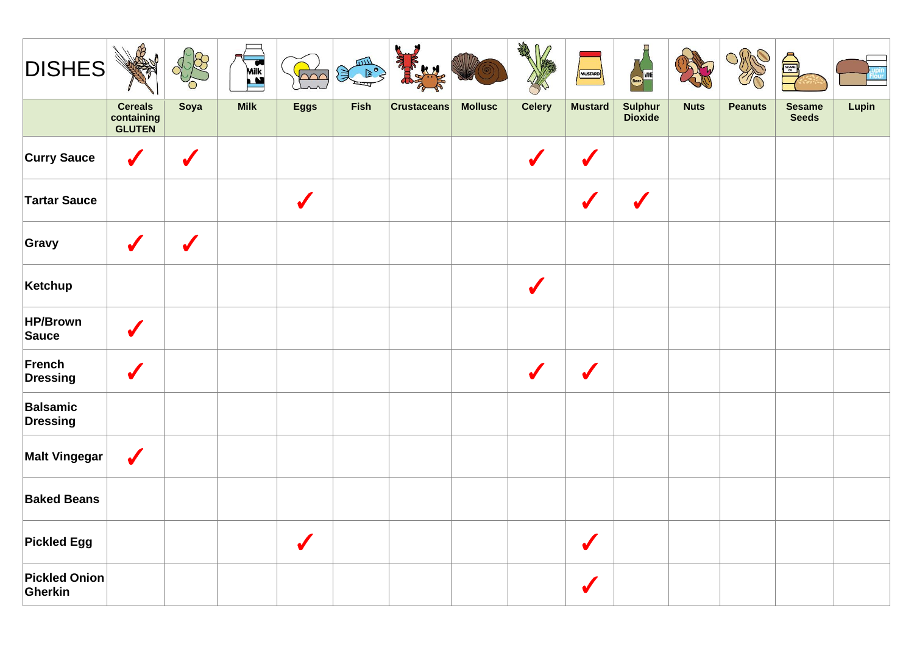| <b>DISHES</b>                   |                                               |              | <b>Milk</b> | <b>Dón</b>   | E E  |                    |                |                      | MUSTARD              | <b>Every</b> WINE    |             |                | å                             |       |
|---------------------------------|-----------------------------------------------|--------------|-------------|--------------|------|--------------------|----------------|----------------------|----------------------|----------------------|-------------|----------------|-------------------------------|-------|
|                                 | <b>Cereals</b><br>containing<br><b>GLUTEN</b> | Soya         | <b>Milk</b> | <b>Eggs</b>  | Fish | <b>Crustaceans</b> | <b>Mollusc</b> | <b>Celery</b>        | <b>Mustard</b>       | Sulphur<br>Dioxide   | <b>Nuts</b> | <b>Peanuts</b> | <b>Sesame</b><br><b>Seeds</b> | Lupin |
| <b>Curry Sauce</b>              | $\boldsymbol{J}$                              | $\checkmark$ |             |              |      |                    |                | $\sqrt{2}$           | $\blacktriangledown$ |                      |             |                |                               |       |
| <b>Tartar Sauce</b>             |                                               |              |             | $\checkmark$ |      |                    |                |                      | $\boldsymbol{J}$     | $\sqrt{\frac{1}{2}}$ |             |                |                               |       |
| Gravy                           | $\sqrt{\frac{1}{2}}$                          | $\checkmark$ |             |              |      |                    |                |                      |                      |                      |             |                |                               |       |
| Ketchup                         |                                               |              |             |              |      |                    |                | $\sqrt{\frac{1}{2}}$ |                      |                      |             |                |                               |       |
| HP/Brown<br>Sauce               | $\boldsymbol{\mathscr{I}}$                    |              |             |              |      |                    |                |                      |                      |                      |             |                |                               |       |
| French<br>Dressing              | $\sqrt{\frac{1}{2}}$                          |              |             |              |      |                    |                | $\sqrt{\frac{1}{2}}$ | $\sqrt{}$            |                      |             |                |                               |       |
| Balsamic<br>Dressing            |                                               |              |             |              |      |                    |                |                      |                      |                      |             |                |                               |       |
| <b>Malt Vingegar</b>            | $\sqrt{}$                                     |              |             |              |      |                    |                |                      |                      |                      |             |                |                               |       |
| <b>Baked Beans</b>              |                                               |              |             |              |      |                    |                |                      |                      |                      |             |                |                               |       |
| <b>Pickled Egg</b>              |                                               |              |             | $\checkmark$ |      |                    |                |                      | $\checkmark$         |                      |             |                |                               |       |
| <b>Pickled Onion</b><br>Gherkin |                                               |              |             |              |      |                    |                |                      |                      |                      |             |                |                               |       |